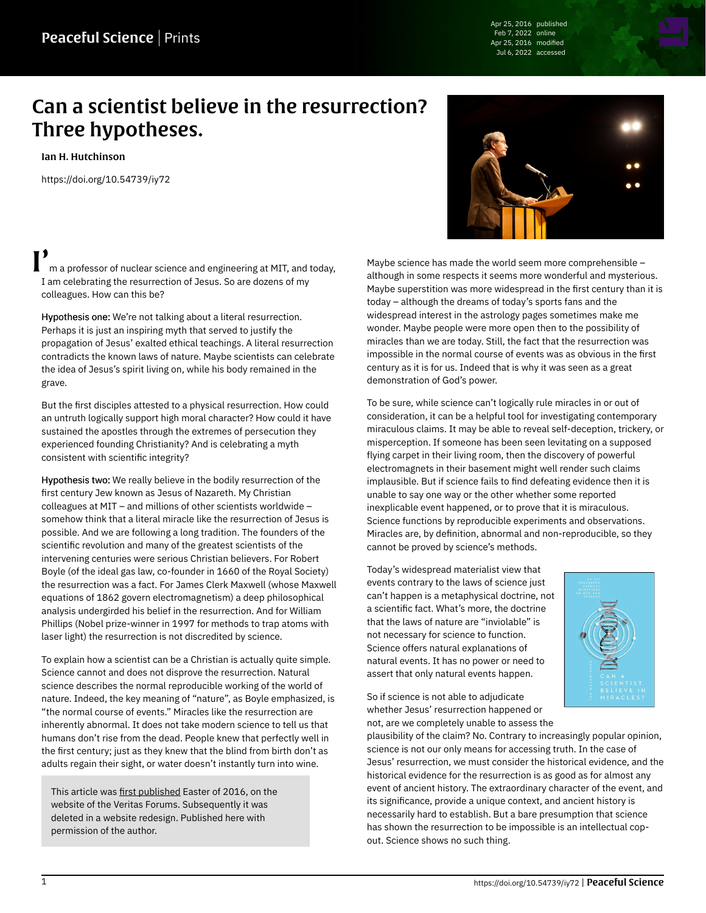Apr 25, 2016 published Feb 7, 2022 online Apr 25, 2016 modified Jul 6, 2022 accessed

## Can a scientist believe in the resurrection? Three hypotheses.

[Ian H. Hutchinson](https://peacefulscience.org/authors/ian-hutchinson/)

<https://doi.org/10.54739/iy72>

m a professor of nuclear science and engineering at MIT, and today, I am celebrating the resurrection of Jesus. So are dozens of my colleagues. How can this be?

Hypothesis one: We're not talking about a literal resurrection. Perhaps it is just an inspiring myth that served to justify the propagation of Jesus' exalted ethical teachings. A literal resurrection contradicts the known laws of nature. Maybe scientists can celebrate the idea of Jesus's spirit living on, while his body remained in the grave.

But the first disciples attested to a physical resurrection. How could an untruth logically support high moral character? How could it have sustained the apostles through the extremes of persecution they experienced founding Christianity? And is celebrating a myth consistent with scientific integrity?

Hypothesis two: We really believe in the bodily resurrection of the first century Jew known as Jesus of Nazareth. My Christian colleagues at MIT – and millions of other scientists worldwide – somehow think that a literal miracle like the resurrection of Jesus is possible. And we are following a long tradition. The founders of the scientific revolution and many of the greatest scientists of the intervening centuries were serious Christian believers. For Robert Boyle (of the ideal gas law, co-founder in 1660 of the Royal Society) the resurrection was a fact. For James Clerk Maxwell (whose Maxwell equations of 1862 govern electromagnetism) a deep philosophical analysis undergirded his belief in the resurrection. And for William Phillips (Nobel prize-winner in 1997 for methods to trap atoms with laser light) the resurrection is not discredited by science.

To explain how a scientist can be a Christian is actually quite simple. Science cannot and does not disprove the resurrection. Natural science describes the normal reproducible working of the world of nature. Indeed, the key meaning of "nature", as Boyle emphasized, is "the normal course of events." Miracles like the resurrection are inherently abnormal. It does not take modern science to tell us that humans don't rise from the dead. People knew that perfectly well in the first century; just as they knew that the blind from birth don't as adults regain their sight, or water doesn't instantly turn into wine.

This article was [first published](https://web.archive.org/web/20161105014707/http://www.veritas.org/can-scientist-believe-resurrection-three-hypotheses) Easter of 2016, on the website of the Veritas Forums. Subsequently it was deleted in a website redesign. Published here with permission of the author.



Maybe science has made the world seem more comprehensible – although in some respects it seems more wonderful and mysterious. Maybe superstition was more widespread in the first century than it is today – although the dreams of today's sports fans and the widespread interest in the astrology pages sometimes make me wonder. Maybe people were more open then to the possibility of miracles than we are today. Still, the fact that the resurrection was impossible in the normal course of events was as obvious in the first century as it is for us. Indeed that is why it was seen as a great demonstration of God's power.

To be sure, while science can't logically rule miracles in or out of consideration, it can be a helpful tool for investigating contemporary miraculous claims. It may be able to reveal self-deception, trickery, or misperception. If someone has been seen levitating on a supposed flying carpet in their living room, then the discovery of powerful electromagnets in their basement might well render such claims implausible. But if science fails to find defeating evidence then it is unable to say one way or the other whether some reported inexplicable event happened, or to prove that it is miraculous. Science functions by reproducible experiments and observations. Miracles are, by definition, abnormal and non-reproducible, so they cannot be proved by science's methods.

Today's widespread materialist view that events contrary to the laws of science just can't happen is a metaphysical doctrine, not a scientific fact. What's more, the doctrine that the laws of nature are "inviolable" is not necessary for science to function. Science offers natural explanations of natural events. It has no power or need to assert that only natural events happen.



So if science is not able to adjudicate whether Jesus' resurrection happened or not, are we completely unable to assess the

plausibility of the claim? No. Contrary to increasingly popular opinion, science is not our only means for accessing truth. In the case of Jesus' resurrection, we must consider the historical evidence, and the historical evidence for the resurrection is as good as for almost any event of ancient history. The extraordinary character of the event, and its significance, provide a unique context, and ancient history is necessarily hard to establish. But a bare presumption that science has shown the resurrection to be impossible is an intellectual copout. Science shows no such thing.